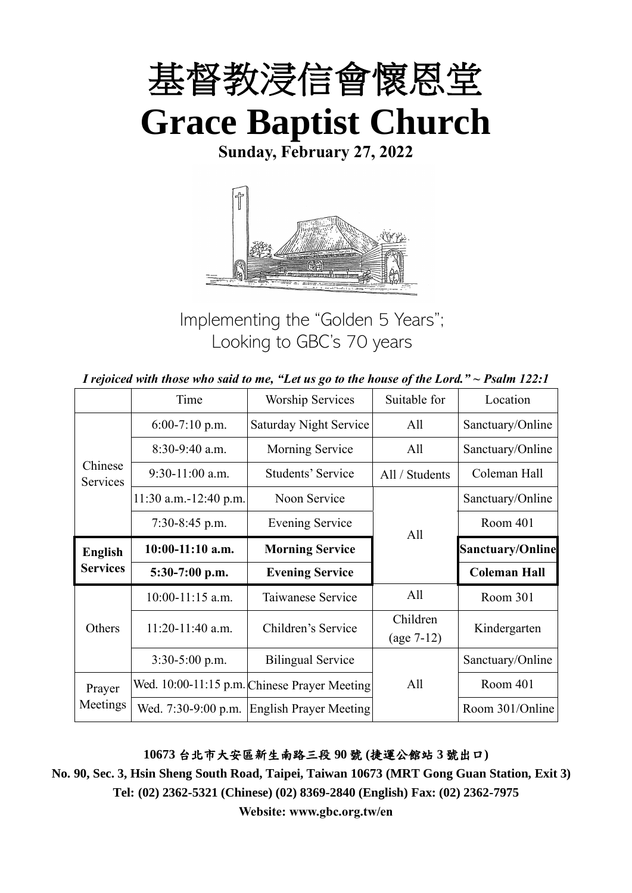

**Sunday, February 27, 2022**



Implementing the "Golden 5 Years"; Looking to GBC's 70 years

|  | I rejoiced with those who said to me, "Let us go to the house of the Lord." $\sim$ Psalm 122:1 |
|--|------------------------------------------------------------------------------------------------|
|--|------------------------------------------------------------------------------------------------|

|                     | Time                  | <b>Worship Services</b>                      | Suitable for             | Location                |
|---------------------|-----------------------|----------------------------------------------|--------------------------|-------------------------|
|                     | $6:00-7:10$ p.m.      | Saturday Night Service                       | All                      | Sanctuary/Online        |
|                     | 8:30-9:40 a.m.        | Morning Service                              | All                      | Sanctuary/Online        |
| Chinese<br>Services | $9:30-11:00$ a.m.     | Students' Service                            | All / Students           | Coleman Hall            |
|                     | 11:30 a.m.-12:40 p.m. | Noon Service                                 |                          | Sanctuary/Online        |
|                     | $7:30-8:45$ p.m.      | <b>Evening Service</b>                       | All                      | Room 401                |
| <b>English</b>      | $10:00-11:10$ a.m.    | <b>Morning Service</b>                       |                          | <b>Sanctuary/Online</b> |
| <b>Services</b>     | 5:30-7:00 p.m.        | <b>Evening Service</b>                       |                          | <b>Coleman Hall</b>     |
|                     | $10:00-11:15$ a.m.    | Taiwanese Service                            | All                      | Room 301                |
| Others              | $11:20-11:40$ a.m.    | Children's Service                           | Children<br>$(age 7-12)$ | Kindergarten            |
|                     | $3:30-5:00$ p.m.      | <b>Bilingual Service</b>                     |                          | Sanctuary/Online        |
| Prayer              |                       | Wed. 10:00-11:15 p.m. Chinese Prayer Meeting | All                      | Room 401                |
| Meetings            | Wed. 7:30-9:00 p.m.   | <b>English Prayer Meeting</b>                |                          | Room 301/Online         |

**10673** 台北市大安區新生南路三段 **90** 號 **(**捷運公館站 **3** 號出口**)**

**No. 90, Sec. 3, Hsin Sheng South Road, Taipei, Taiwan 10673 (MRT Gong Guan Station, Exit 3) Tel: (02) 2362-5321 (Chinese) (02) 8369-2840 (English) Fax: (02) 2362-7975**

**Website: www.gbc.org.tw/en**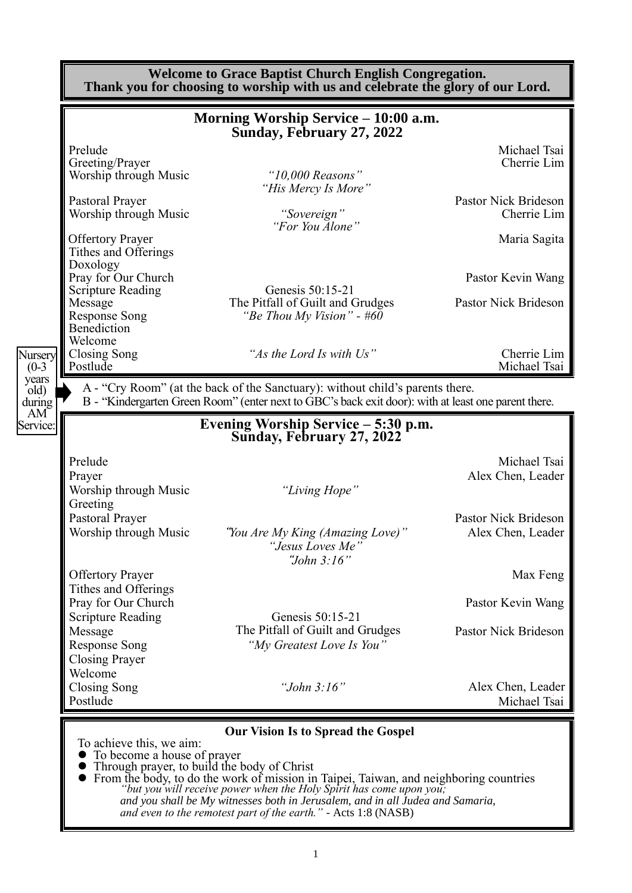|                                  |                                                                                                                                                    | <b>Welcome to Grace Baptist Church English Congregation.</b><br>Thank you for choosing to worship with us and celebrate the glory of our Lord.                                                                                                                                                                                                                  |                                                                                    |
|----------------------------------|----------------------------------------------------------------------------------------------------------------------------------------------------|-----------------------------------------------------------------------------------------------------------------------------------------------------------------------------------------------------------------------------------------------------------------------------------------------------------------------------------------------------------------|------------------------------------------------------------------------------------|
|                                  |                                                                                                                                                    | Morning Worship Service - 10:00 a.m.<br>Sunday, February 27, 2022                                                                                                                                                                                                                                                                                               |                                                                                    |
|                                  | Prelude<br>Greeting/Prayer<br>Worship through Music<br>Pastoral Prayer<br>Worship through Music<br><b>Offertory Prayer</b><br>Tithes and Offerings | " $10,000$ Reasons"<br>"His Mercy Is More"<br>"Sovereign"<br>"For You Alone"                                                                                                                                                                                                                                                                                    | Michael Tsai<br>Cherrie Lim<br>Pastor Nick Brideson<br>Cherrie Lim<br>Maria Sagita |
|                                  | Doxology<br>Pray for Our Church<br><b>Scripture Reading</b><br>Message<br><b>Response Song</b><br>Benediction<br>Welcome                           | Genesis 50:15-21<br>The Pitfall of Guilt and Grudges<br>"Be Thou My Vision" - $\#6\overline{0}$                                                                                                                                                                                                                                                                 | Pastor Kevin Wang<br><b>Pastor Nick Brideson</b>                                   |
| Nursery<br>$(0-3)$               | Closing Song<br>Postlude                                                                                                                           | "As the Lord Is with Us"                                                                                                                                                                                                                                                                                                                                        | Cherrie Lim<br>Michael Tsai                                                        |
| old)<br>during<br>AM<br>Service: |                                                                                                                                                    | B - "Kindergarten Green Room" (enter next to GBC's back exit door): with at least one parent there.<br>Evening Worship Service - 5:30 p.m.<br>Sunday, February 27, 2022                                                                                                                                                                                         |                                                                                    |
|                                  | Prelude<br>Prayer<br>Worship through Music<br>Greeting                                                                                             | "Living Hope"                                                                                                                                                                                                                                                                                                                                                   | Michael Tsai<br>Alex Chen, Leader                                                  |
|                                  | Pastoral Prayer<br>Worship through Music                                                                                                           | "You Are My King (Amazing Love)"<br>"Jesus Loves Me"<br>"John 3:16"                                                                                                                                                                                                                                                                                             | Pastor Nick Brideson<br>Alex Chen, Leader                                          |
|                                  | <b>Offertory Prayer</b><br>Tithes and Offerings<br>Pray for Our Church                                                                             |                                                                                                                                                                                                                                                                                                                                                                 | Max Feng<br>Pastor Kevin Wang                                                      |
|                                  | <b>Scripture Reading</b><br>Message<br>Response Song<br><b>Closing Prayer</b>                                                                      | Genesis 50:15-21<br>The Pitfall of Guilt and Grudges<br>"My Greatest Love Is You"                                                                                                                                                                                                                                                                               | Pastor Nick Brideson                                                               |
|                                  | Welcome<br>Closing Song<br>Postlude                                                                                                                | "John $3:16"$                                                                                                                                                                                                                                                                                                                                                   | Alex Chen, Leader<br>Michael Tsai                                                  |
|                                  | To achieve this, we aim:<br>• To become a house of prayer<br>Through prayer, to build the body of Christ                                           | <b>Our Vision Is to Spread the Gospel</b><br>• From the body, to do the work of mission in Taipei, Taiwan, and neighboring countries<br>"but you will receive power when the Holy Spirit has come upon you;<br>and you shall be My witnesses both in Jerusalem, and in all Judea and Samaria,<br>and even to the remotest part of the earth." - Acts 1:8 (NASB) |                                                                                    |

1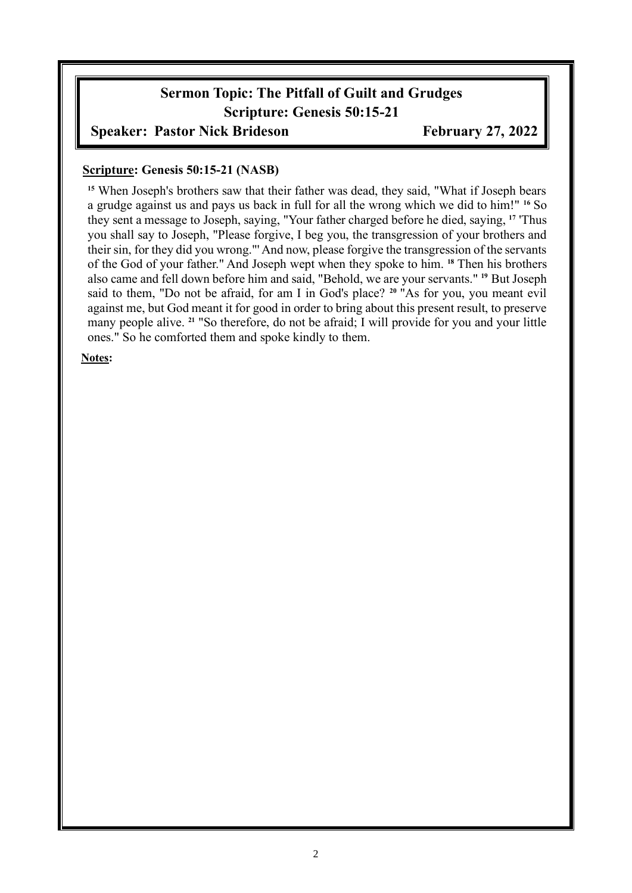# **Sermon Topic: The Pitfall of Guilt and Grudges Scripture: Genesis 50:15-21**

#### **Speaker: Pastor Nick Brideson February 27, 2022**

#### **Scripture: Genesis 50:15-21 (NASB)**

**<sup>15</sup>** When Joseph's brothers saw that their father was dead, they said, "What if Joseph bears a grudge against us and pays us back in full for all the wrong which we did to him!" **<sup>16</sup>** So they sent a message to Joseph, saying, "Your father charged before he died, saying, **<sup>17</sup>** 'Thus you shall say to Joseph, "Please forgive, I beg you, the transgression of your brothers and their sin, for they did you wrong."' And now, please forgive the transgression of the servants of the God of your father." And Joseph wept when they spoke to him. **<sup>18</sup>** Then his brothers also came and fell down before him and said, "Behold, we are your servants." **<sup>19</sup>** But Joseph said to them, "Do not be afraid, for am I in God's place? **<sup>20</sup>** "As for you, you meant evil against me, but God meant it for good in order to bring about this present result, to preserve many people alive. **<sup>21</sup>** "So therefore, do not be afraid; I will provide for you and your little ones." So he comforted them and spoke kindly to them.

#### **Notes:**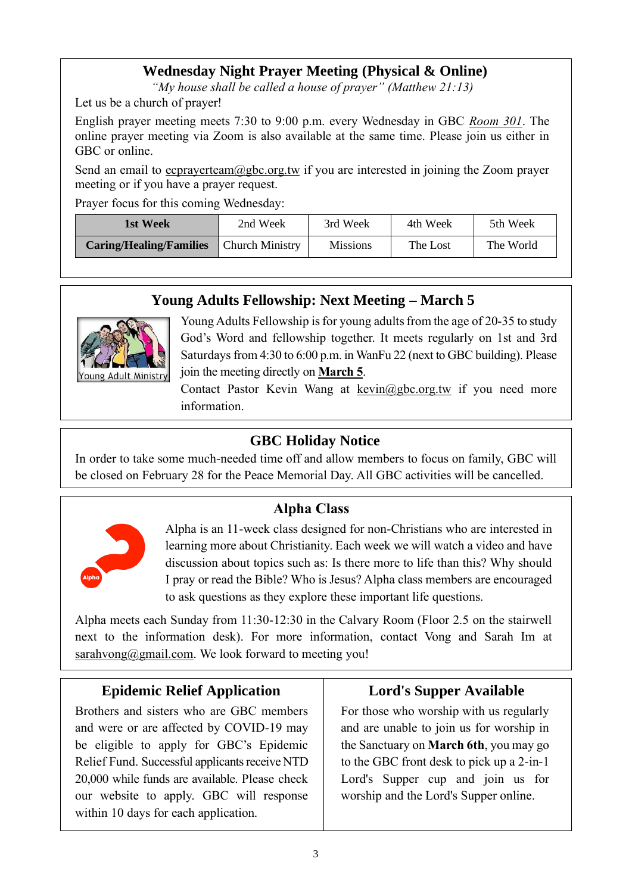#### **Wednesday Night Prayer Meeting (Physical & Online)**

*"My house shall be called a house of prayer" (Matthew 21:13)*

Let us be a church of prayer!

English prayer meeting meets 7:30 to 9:00 p.m. every Wednesday in GBC *Room 301*. The online prayer meeting via Zoom is also available at the same time. Please join us either in GBC or online.

Send an email to ecprayerteam@gbc.org.tw if you are interested in joining the Zoom prayer meeting or if you have a prayer request.

Prayer focus for this coming Wednesday:

| 1st Week                       | 2nd Week               | 3rd Week        | 4th Week | 5th Week  |
|--------------------------------|------------------------|-----------------|----------|-----------|
| <b>Caring/Healing/Families</b> | <b>Church Ministry</b> | <b>Missions</b> | The Lost | The World |

#### **Young Adults Fellowship: Next Meeting – March 5**



Young Adults Fellowship is for young adults from the age of 20-35 to study God's Word and fellowship together. It meets regularly on 1st and 3rd Saturdays from 4:30 to 6:00 p.m. in WanFu 22 (next to GBC building). Please join the meeting directly on **March 5**.

Contact Pastor Kevin Wang at kevin@gbc.org.tw if you need more information.

#### **GBC Holiday Notice**

In order to take some much-needed time off and allow members to focus on family, GBC will be closed on February 28 for the Peace Memorial Day. All GBC activities will be cancelled.

## **Alpha Class**



Alpha is an 11-week class designed for non-Christians who are interested in learning more about Christianity. Each week we will watch a video and have discussion about topics such as: Is there more to life than this? Why should I pray or read the Bible? Who is Jesus? Alpha class members are encouraged to ask questions as they explore these important life questions.

Alpha meets each Sunday from 11:30-12:30 in the Calvary Room (Floor 2.5 on the stairwell next to the information desk). For more information, contact Vong and Sarah Im at  $s$ arahvong@gmail.com. We look forward to meeting you!

## **Epidemic Relief Application**

Brothers and sisters who are GBC members and were or are affected by COVID-19 may be eligible to apply for GBC's Epidemic Relief Fund. Successful applicants receive NTD 20,000 while funds are available. Please check our website to apply. GBC will response within 10 days for each application.

## **Lord's Supper Available**

For those who worship with us regularly and are unable to join us for worship in the Sanctuary on **March 6th**, you may go to the GBC front desk to pick up a 2-in-1 Lord's Supper cup and join us for worship and the Lord's Supper online.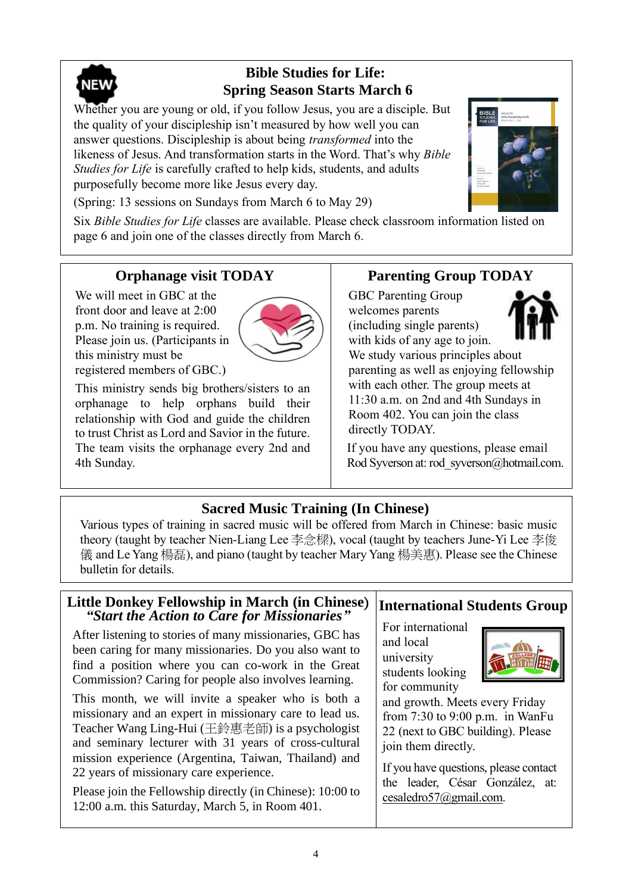

## **Bible Studies for Life: Spring Season Starts March 6**

Whether you are young or old, if you follow Jesus, you are a disciple. But the quality of your discipleship isn't measured by how well you can answer questions. Discipleship is about being *transformed* into the likeness of Jesus. And transformation starts in the Word. That's why *Bible Studies for Life* is carefully crafted to help kids, students, and adults purposefully become more like Jesus every day.

(Spring: 13 sessions on Sundays from March 6 to May 29)

Six *Bible Studies for Life* classes are available. Please check classroom information listed on page 6 and join one of the classes directly from March 6.

## **Orphanage visit TODAY**

We will meet in GBC at the front door and leave at 2:00 p.m. No training is required. Please join us. (Participants in this ministry must be



registered members of GBC.)

This ministry sends big brothers/sisters to an orphanage to help orphans build their relationship with God and guide the children to trust Christ as Lord and Savior in the future. The team visits the orphanage every 2nd and 4th Sunday.

## **Parenting Group TODAY**

GBC Parenting Group welcomes parents (including single parents) with kids of any age to join.

We study various principles about parenting as well as enjoying fellowship with each other. The group meets at 11:30 a.m. on 2nd and 4th Sundays in Room 402. You can join the class directly TODAY.

If you have any questions, please email Rod Syverson at: rod syverson@hotmail.com.

#### **Sacred Music Training (In Chinese)**

Various types of training in sacred music will be offered from March in Chinese: basic music theory (taught by teacher Nien-Liang Lee 李念樑), vocal (taught by teachers June-Yi Lee 李俊 儀 and Le Yang 楊磊), and piano (taught by teacher Mary Yang 楊美惠). Please see the Chinese bulletin for details.

#### **Little Donkey Fellowship in March (in Chinese**) *"Start the Action to Care for Missionaries"*

After listening to stories of many missionaries, GBC has been caring for many missionaries. Do you also want to find a position where you can co-work in the Great Commission? Caring for people also involves learning.

This month, we will invite a speaker who is both a missionary and an expert in missionary care to lead us. Teacher Wang Ling-Hui (王鈴惠老師) is a psychologist and seminary lecturer with 31 years of cross-cultural mission experience (Argentina, Taiwan, Thailand) and 22 years of missionary care experience.

Please join the Fellowship directly (in Chinese): 10:00 to 12:00 a.m. this Saturday, March 5, in Room 401.

## **International Students Group**

For international and local university students looking for community



and growth. Meets every Friday from 7:30 to 9:00 p.m. in WanFu 22 (next to GBC building). Please join them directly.

If you have questions, please contact the leader, César González, at: [cesaledro57@gmail.com.](mailto:cesaledro57@gmail.com)

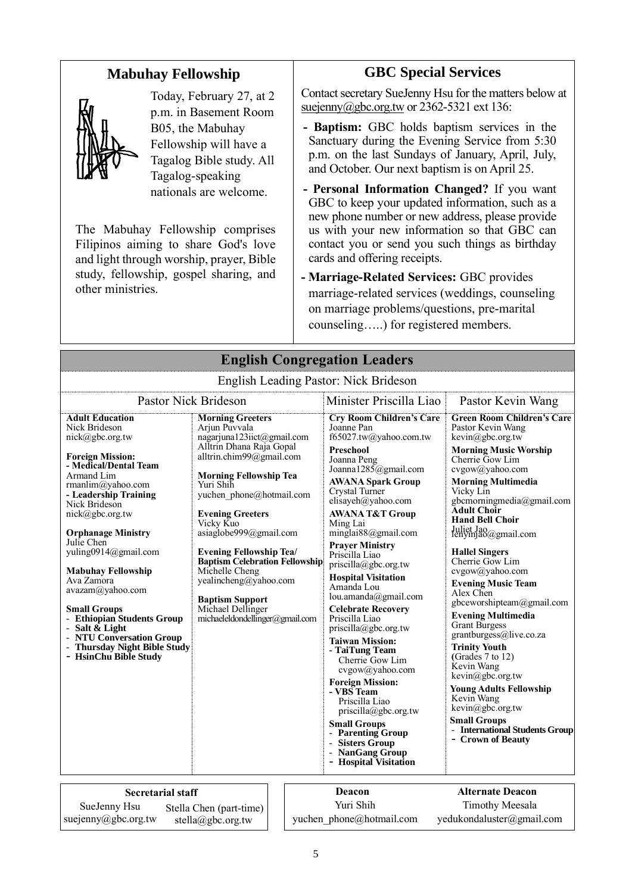#### **Mabuhay Fellowship**



Today, February 27, at 2 p.m. in Basement Room B05, the Mabuhay Fellowship will have a Tagalog Bible study. All Tagalog-speaking nationals are welcome.

The Mabuhay Fellowship comprises Filipinos aiming to share God's love and light through worship, prayer, Bible study, fellowship, gospel sharing, and other ministries.

#### **GBC Special Services**

Contact secretary SueJenny Hsu for the matters below at [suejenny@gbc.org.tw](mailto:suejenny@gbc.org.tw) or 2362-5321 ext 136:

- **- Baptism:** GBC holds baptism services in the Sanctuary during the Evening Service from 5:30 p.m. on the last Sundays of January, April, July, and October. Our next baptism is on April 25.
- **- Personal Information Changed?** If you want GBC to keep your updated information, such as a new phone number or new address, please provide us with your new information so that GBC can contact you or send you such things as birthday cards and offering receipts.
- **- Marriage-Related Services:** GBC provides marriage-related services (weddings, counseling on marriage problems/questions, pre-marital counseling…..) for registered members.

| Linguism Leading I aston. Then Drideson                                                                                                                                                                                                                                                                                                                                                                                                                                                                                   |                                                                                                                                                                                                                                                                                                                                                                                                                                                                                    |  |                                                                                                                                                                                                                                                                                                                                                                                                                                                                                                                                                                                                                                                                                                                                                                                                |                                                                                                                                                                                                                                                                                                                                                                                                                                                                                                                                                                                                                                                                                                                                                            |  |
|---------------------------------------------------------------------------------------------------------------------------------------------------------------------------------------------------------------------------------------------------------------------------------------------------------------------------------------------------------------------------------------------------------------------------------------------------------------------------------------------------------------------------|------------------------------------------------------------------------------------------------------------------------------------------------------------------------------------------------------------------------------------------------------------------------------------------------------------------------------------------------------------------------------------------------------------------------------------------------------------------------------------|--|------------------------------------------------------------------------------------------------------------------------------------------------------------------------------------------------------------------------------------------------------------------------------------------------------------------------------------------------------------------------------------------------------------------------------------------------------------------------------------------------------------------------------------------------------------------------------------------------------------------------------------------------------------------------------------------------------------------------------------------------------------------------------------------------|------------------------------------------------------------------------------------------------------------------------------------------------------------------------------------------------------------------------------------------------------------------------------------------------------------------------------------------------------------------------------------------------------------------------------------------------------------------------------------------------------------------------------------------------------------------------------------------------------------------------------------------------------------------------------------------------------------------------------------------------------------|--|
| <b>Pastor Nick Brideson</b>                                                                                                                                                                                                                                                                                                                                                                                                                                                                                               |                                                                                                                                                                                                                                                                                                                                                                                                                                                                                    |  | Minister Priscilla Liao                                                                                                                                                                                                                                                                                                                                                                                                                                                                                                                                                                                                                                                                                                                                                                        | Pastor Kevin Wang                                                                                                                                                                                                                                                                                                                                                                                                                                                                                                                                                                                                                                                                                                                                          |  |
| <b>Adult Education</b><br>Nick Brideson<br>$nick(\omega)$ gbc.org.tw<br><b>Foreign Mission:</b><br>- Medical/Dental Team<br>Armand Lim<br>rmanlim@yahoo.com<br>- Leadership Training<br>Nick Brideson<br>nick@gbc.org.tw<br><b>Orphanage Ministry</b><br>Julie Chen<br>yuling0914@gmail.com<br><b>Mabuhay Fellowship</b><br>Ava Zamora<br>avazam@yahoo.com<br><b>Small Groups</b><br>- Ethiopian Students Group<br>- Salt $\&$ Light<br>- NTU Conversation Group<br>- Thursday Night Bible Study<br>- HsinChu Bible Study | <b>Morning Greeters</b><br>Arjun Puvvala<br>nagarjuna123iict@gmail.com<br>Alltrin Dhana Raja Gopal<br>alltrin.chim99@gmail.com<br><b>Morning Fellowship Tea</b><br>Yuri Shih<br>yuchen phone@hotmail.com<br><b>Evening Greeters</b><br>Vicky Kuo<br>asiaglobe999@gmail.com<br><b>Evening Fellowship Tea/</b><br><b>Baptism Celebration Fellowship</b><br>Michelle Cheng<br>yealincheng@yahoo.com<br><b>Baptism Support</b><br>Michael Dellinger<br>michaeleldondellinger@gmail.com |  | <b>Cry Room Children's Care</b><br>Joanne Pan<br>f65027.tw@yahoo.com.tw<br><b>Preschool</b><br>Joanna Peng<br>Joanna1285@gmail.com<br><b>AWANA Spark Group</b><br>Crystal Turner<br>elisayeh@yahoo.com<br><b>AWANA T&amp;T Group</b><br>Ming Lai<br>minglai88@gmail.com<br><b>Praver Ministry</b><br>Priscilla Liao<br>$priscilla(\partial gbc.org.tw)$<br><b>Hospital Visitation</b><br>Amanda Lou<br>lou.amanda@gmail.com<br><b>Celebrate Recovery</b><br>Priscilla Liao<br>$priscilla(\partial gbc.org.tw)$<br><b>Taiwan Mission:</b><br>- TaiTung Team<br>Cherrie Gow Lim<br>cvgow@yahoo.com<br><b>Foreign Mission:</b><br>- VBS Team<br>Priscilla Liao<br>priscilla@gbc.org.tw<br><b>Small Groups</b><br>- Parenting Group<br>- Sisters Group<br>- NanGang Group<br>- Hospital Visitation | <b>Green Room Children's Care</b><br>Pastor Kevin Wang<br>kevin@gbc.org.tw<br><b>Morning Music Worship</b><br>Cherrie Gow Lim<br>cvgow@yahoo.com<br><b>Morning Multimedia</b><br>Vicky Lin<br>gbcmorningmedia@gmail.com<br><b>Adult Choir</b><br><b>Hand Bell Choir</b><br>Juliet Jao@gmail.com<br><b>Hallel Singers</b><br>Cherrie Gow Lim<br>cvgow@yahoo.com<br><b>Evening Music Team</b><br>Alex Chen<br>gbceworshipteam@gmail.com<br><b>Evening Multimedia</b><br><b>Grant Burgess</b><br>grantburgess@live.co.za<br><b>Trinity Youth</b><br>(Grades $7$ to $12$ )<br>Kevin Wang<br>kevin@gbc.org.tw<br><b>Young Adults Fellowship</b><br>Kevin Wang<br>kevin@gbc.org.tw<br><b>Small Groups</b><br>- International Students Group<br>- Crown of Beauty |  |
| <b>Secretarial staff</b>                                                                                                                                                                                                                                                                                                                                                                                                                                                                                                  |                                                                                                                                                                                                                                                                                                                                                                                                                                                                                    |  | Deacon<br>Yuri Shih                                                                                                                                                                                                                                                                                                                                                                                                                                                                                                                                                                                                                                                                                                                                                                            | <b>Alternate Deacon</b><br><b>Timothy Meesala</b>                                                                                                                                                                                                                                                                                                                                                                                                                                                                                                                                                                                                                                                                                                          |  |
| SueJenny Hsu<br>suejenny@gbc.org.tw                                                                                                                                                                                                                                                                                                                                                                                                                                                                                       | Stella Chen (part-time)<br>stella@gbc.org.tw                                                                                                                                                                                                                                                                                                                                                                                                                                       |  | yuchen phone@hotmail.com                                                                                                                                                                                                                                                                                                                                                                                                                                                                                                                                                                                                                                                                                                                                                                       | yedukondaluster@gmail.com                                                                                                                                                                                                                                                                                                                                                                                                                                                                                                                                                                                                                                                                                                                                  |  |

**English Congregation Leaders** English Leading Pastor: Nick Brideson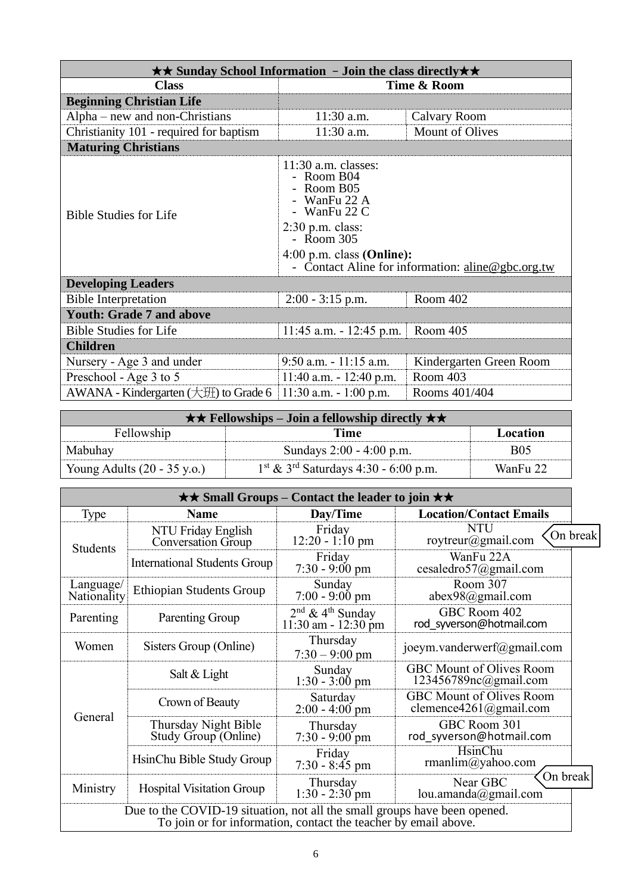| $\star\star$ Sunday School Information - Join the class directly $\star\star$ |                                                                                                                                                                                                                            |                         |  |  |
|-------------------------------------------------------------------------------|----------------------------------------------------------------------------------------------------------------------------------------------------------------------------------------------------------------------------|-------------------------|--|--|
| <b>Class</b>                                                                  | Time & Room                                                                                                                                                                                                                |                         |  |  |
| <b>Beginning Christian Life</b>                                               |                                                                                                                                                                                                                            |                         |  |  |
| $Alpha$ – new and non-Christians                                              | $11:30$ a.m.                                                                                                                                                                                                               | Calvary Room            |  |  |
| Christianity 101 - required for baptism                                       | 11:30 a.m.                                                                                                                                                                                                                 | <b>Mount of Olives</b>  |  |  |
| <b>Maturing Christians</b>                                                    |                                                                                                                                                                                                                            |                         |  |  |
| <b>Bible Studies for Life</b>                                                 | $11:30$ a.m. classes:<br>- Room B04<br>- Room B05<br>- WanFu 22 A<br>- WanFu $22 \text{ C}$<br>$2:30$ p.m. class:<br>- Room 305<br>$4:00$ p.m. class (Online):<br>Contact Aline for information: $\text{aline@gbc.org.tw}$ |                         |  |  |
| <b>Developing Leaders</b>                                                     |                                                                                                                                                                                                                            |                         |  |  |
| <b>Bible Interpretation</b>                                                   | Room 402<br>$2:00 - 3:15$ p.m.                                                                                                                                                                                             |                         |  |  |
| <b>Youth: Grade 7 and above</b>                                               |                                                                                                                                                                                                                            |                         |  |  |
| <b>Bible Studies for Life</b>                                                 | Room 405<br>$11:45$ a.m. $-12:45$ p.m.                                                                                                                                                                                     |                         |  |  |
| <b>Children</b>                                                               |                                                                                                                                                                                                                            |                         |  |  |
| Nursery - Age 3 and under                                                     | $9:50$ a.m. $-11:15$ a.m.                                                                                                                                                                                                  | Kindergarten Green Room |  |  |
| Preschool - Age 3 to 5                                                        | Room 403<br>$11:40$ a.m. $-12:40$ p.m.                                                                                                                                                                                     |                         |  |  |
| AWANA - Kindergarten $(\pm 1)$ to Grade 6                                     | $11:30$ a.m. $-1:00$ p.m.                                                                                                                                                                                                  | Rooms 401/404           |  |  |

| $\star \star$ Fellowships – Join a fellowship directly $\star \star$ |                                                    |            |  |
|----------------------------------------------------------------------|----------------------------------------------------|------------|--|
| Fellowship<br>Location<br>Time                                       |                                                    |            |  |
| Mabuhay                                                              | Sundays 2:00 - 4:00 p.m.                           | <b>B05</b> |  |
| Young Adults $(20 - 35 \text{ y.o.})$                                | $1st$ & 3 <sup>rd</sup> Saturdays 4:30 - 6:00 p.m. | WanFu 22   |  |

| $\star\star$ Small Groups – Contact the leader to join $\star\star$                                                                          |                                              |                                                                  |                                                           |          |
|----------------------------------------------------------------------------------------------------------------------------------------------|----------------------------------------------|------------------------------------------------------------------|-----------------------------------------------------------|----------|
| <b>Type</b>                                                                                                                                  | Name                                         | Day/Time                                                         | <b>Location/Contact Emails</b>                            |          |
| NTU Friday English<br>Conversation Group<br><b>Students</b>                                                                                  |                                              | Friday<br>$12:20 - 1:10$ pm                                      | <b>NTU</b><br>roytreur@gmail.com                          | On break |
|                                                                                                                                              | <b>International Students Group</b>          | Friday<br>$7:30 - 9:00 \text{ pm}$                               | WanFu 22A<br>cesaledro57@gmail.com                        |          |
| Language/<br>Nationality                                                                                                                     | <b>Ethiopian Students Group</b>              | Sunday<br>$7:00 - 9:00 \text{ pm}$                               | Room 307<br>abex98@gmail.com                              |          |
| Parenting                                                                                                                                    | Parenting Group                              | $2nd$ & 4 <sup>th</sup> Sunday<br>$11:30$ am - $12:30$ pm        | GBC Room 402<br>rod syverson@hotmail.com                  |          |
| Women                                                                                                                                        | Sisters Group (Online)                       | Thursday<br>$7:30 - 9:00$ pm                                     | joeym.vanderwerf@gmail.com                                |          |
|                                                                                                                                              | Salt & Light                                 | Sunday<br>$1:30 - 3:00$ pm                                       | <b>GBC Mount of Olives Room</b><br>123456789nc@gmail.com  |          |
|                                                                                                                                              | Crown of Beauty                              | Saturday<br>$2:00 - 4:00$ pm                                     | <b>GBC Mount of Olives Room</b><br>clemence4261@gmail.com |          |
| General                                                                                                                                      | Thursday Night Bible<br>Study Group (Online) | Thursday<br>$7:30 - 9:00$ pm                                     | GBC Room 301<br>rod syverson@hotmail.com                  |          |
|                                                                                                                                              | HsinChu Bible Study Group                    | Friday<br>$7:30 - 8:45$ pm                                       | HsinChu<br>rmanlim@yahoo.com                              |          |
| Ministry                                                                                                                                     | <b>Hospital Visitation Group</b>             | Near GBC<br>Thursday<br>$1:30 - 2:30$ pm<br>lou.amanda@gmail.com |                                                           | On break |
| Due to the COVID-19 situation, not all the small groups have been opened.<br>To join or for information, contact the teacher by email above. |                                              |                                                                  |                                                           |          |